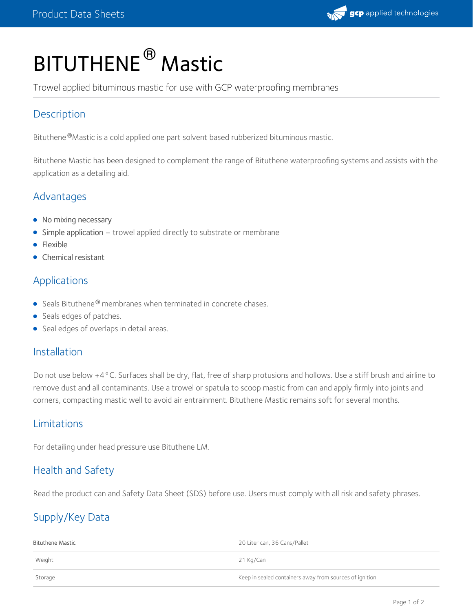

# BITUTHENE<sup>®</sup> Mastic

Trowel applied bituminous mastic for use with GCP waterproofing membranes

# **Description**

Bituthene®Mastic is a cold applied one part solvent based rubberized bituminous mastic.

Bituthene Mastic has been designed to complement the range of Bituthene waterproofing systems and assists with the application as a detailing aid.

# Advantages

- No mixing necessary
- Simple application trowel applied directly to substrate or membrane
- Flexible
- Chemical resistant

## Applications

- Seals Bituthene<sup>®</sup> membranes when terminated in concrete chases.
- Seals edges of patches.
- **Seal edges of overlaps in detail areas.**

### **Installation**

Do not use below +4°C. Surfaces shall be dry, flat, free of sharp protusions and hollows. Use a stiff brush and airline to remove dust and all contaminants. Use a trowel or spatula to scoop mastic from can and apply firmly into joints and corners, compacting mastic well to avoid air entrainment. Bituthene Mastic remains soft for several months.

### Limitations

For detailing under head pressure use Bituthene LM.

# Health and Safety

Read the product can and Safety Data Sheet (SDS) before use. Users must comply with all risk and safety phrases.

# Supply/Key Data

| Bituthene Mastic | 20 Liter can, 36 Cans/Pallet                            |
|------------------|---------------------------------------------------------|
| Weight           | 21 Kg/Can                                               |
| Storage          | Keep in sealed containers away from sources of ignition |